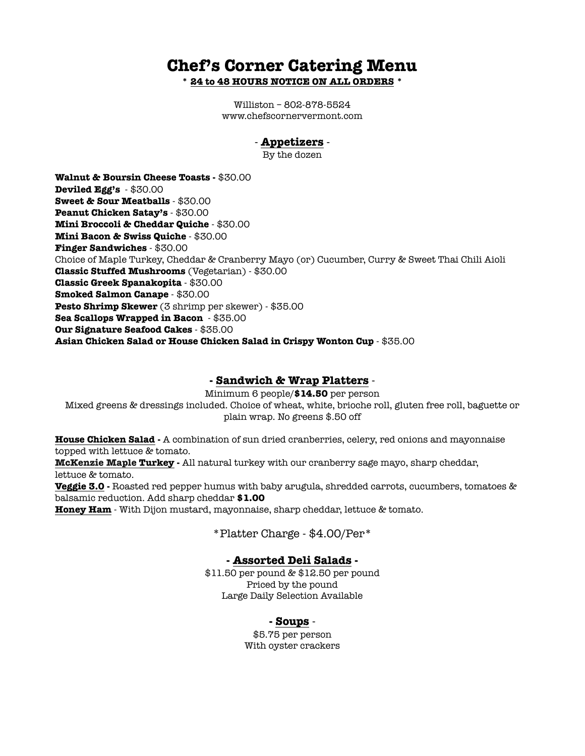## **Chef's Corner Catering Menu**

**\* 24 to 48 HOURS NOTICE ON ALL ORDERS \*** 

Williston – 802-878-5524 www.chefscornervermont.com

#### - **Appetizers** -

By the dozen

**Walnut & Boursin Cheese Toasts -** \$30.00 **Deviled Egg's** - \$30.00 **Sweet & Sour Meatballs** - \$30.00 **Peanut Chicken Satay's** - \$30.00 **Mini Broccoli & Cheddar Quiche** - \$30.00 **Mini Bacon & Swiss Quiche** - \$30.00 **Finger Sandwiches** - \$30.00 Choice of Maple Turkey, Cheddar & Cranberry Mayo (or) Cucumber, Curry & Sweet Thai Chili Aioli **Classic Stuffed Mushrooms** (Vegetarian) - \$30.00 **Classic Greek Spanakopita** - \$30.00 **Smoked Salmon Canape** - \$30.00 **Pesto Shrimp Skewer** (3 shrimp per skewer) - \$35.00 **Sea Scallops Wrapped in Bacon** - \$35.00 **Our Signature Seafood Cakes** - \$35.00 **Asian Chicken Salad or House Chicken Salad in Crispy Wonton Cup** - \$35.00

### **- Sandwich & Wrap Platters** -

Minimum 6 people/**\$14.50** per person

Mixed greens & dressings included. Choice of wheat, white, brioche roll, gluten free roll, baguette or plain wrap. No greens \$.50 off

**House Chicken Salad -** A combination of sun dried cranberries, celery, red onions and mayonnaise topped with lettuce & tomato.

**McKenzie Maple Turkey -** All natural turkey with our cranberry sage mayo, sharp cheddar, lettuce & tomato.

**Veggie 3.0 -** Roasted red pepper humus with baby arugula, shredded carrots, cucumbers, tomatoes & balsamic reduction. Add sharp cheddar **\$1.00** 

**Honey Ham** - With Dijon mustard, mayonnaise, sharp cheddar, lettuce & tomato.

\*Platter Charge - \$4.00/Per\*

#### **- Assorted Deli Salads -**

\$11.50 per pound & \$12.50 per pound Priced by the pound Large Daily Selection Available

#### **- Soups** -

\$5.75 per person With oyster crackers